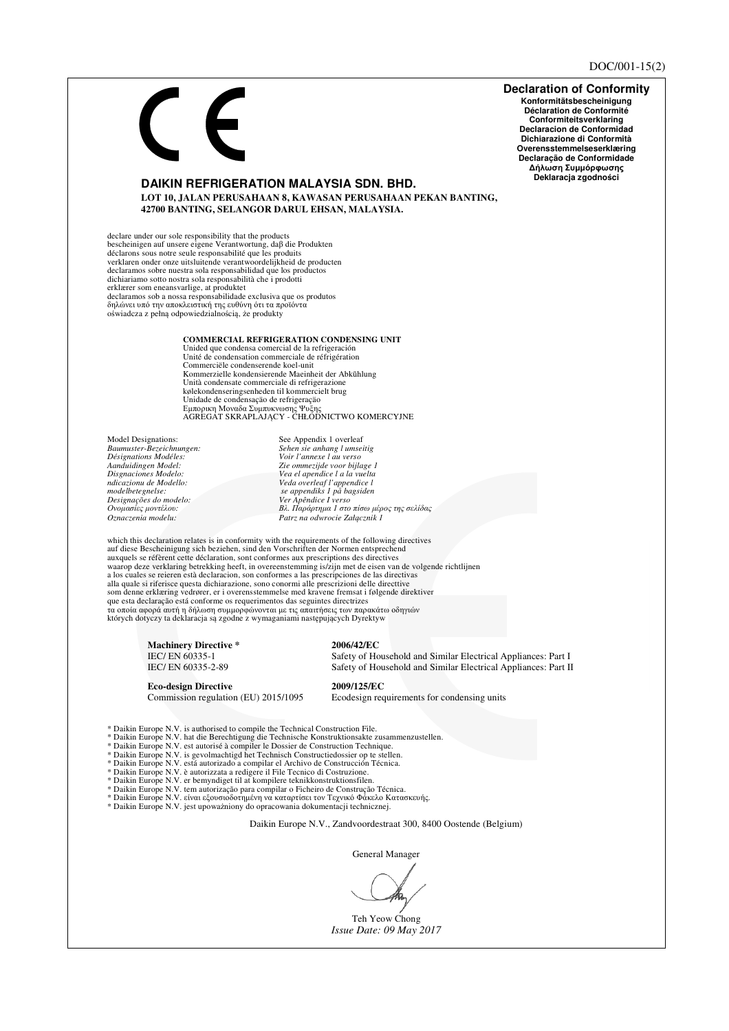## **Declaration of Conformity** Konformitätsbescheinigung Déclaration de Conformité Conformiteitsverklaring Declaracion de Conformidad Dichiarazione di Conformità Overensstemmelseserklæring Declaração de Conformidade Δήλωση Συμμόρφωσης Deklaracja zgodności **DAIKIN REFRIGERATION MALAYSIA SDN. BHD.** LOT 10, JALAN PERUSAHAAN 8, KAWASAN PERUSAHAAN PEKAN BANTING, 42700 BANTING, SELANGOR DARUL EHSAN, MALAYSIA. declare under our sole responsibility that the products<br>bescheinigen auf unsere eigene Verantwortung, daß die Produkten sections sous notes explicit exploration and the section of the section of the section of the section of the section of the section of the section of the section of the section of the section of the section of the section declaramos sobre nuestra sola responsabilidad que los productos<br>dichiariamo sotto nostra sola responsabilità che i prodotti erklærer som eneansvarlige, at produktet<br>erklærer som eneansvarlige, at produktet<br>declaramos sob a nossa responsabilidade exclusiva que os produtos<br>δηλώνει υπό την αποκλειστική της ευθύνη ότι τα προϊόντα oświadcza z pełną odpowiedzialnością, że produkty COMMERCIAL REFRIGERATION CONDENSING UNIT Unided que condensa comercial de la refrigeración Unité de condensation commerciale de réfrigération Commerciële condenserende koel-unit Kommerzielle kondensierende Maeinheit der Abkühlung Unità condensate commerciale di refrigerazione kølekondenseringsenheden til kommercielt brug Unidade de condensação de refrigeração<br>Εμπορικη Μοναδα Συμπυκνωσης Ψυξης<br>ΑGREGAT SKRAPLAJĄCY - CHŁODNICTWO KOMERCYJNE Model Designations: See Appendix 1 overleaf Baumuster-Bezeichnungen: Sehen sie anhang l umseitig<br>Voir l'annexe l au verso Désignations Modéles: Aanduidingen Model:<br>Disgnaciones Modelo: Zie ommezijde voor bijlage 1<br>Vea el apendice l a la vuelta ndicazionu de Modello:<br>modelbetegnelse: Veda overleaf l'appendice l<br>se appendiks 1 på bagsiden *Designações do modelo:*<br>Ονομασίες μοντέλου: - Ver Apêndice I verso<br>Ver Apêndice I verso<br>Βλ. Παράρτημα 1 στο πίσω μέρος της σελίδας  $Oznaczenia modelu:$ Patrz na odwrocie Załącznik 1 which this declaration relates is in conformity with the requirements of the following directives auf diese Bescheinigung sich beziehen, sind den Vorschriften der Normen entsprechend auxquels se réfèrent cette déclaration, sont conformes aux prescriptions des directives<br>waarop deze verklaring betrekking heeft, in overeenstemming is/zijn met de eisen van de volgende richtlijnen<br>a los cuales se reieren e alla quale si riferisce questa dichiarazione, sono conormi alle prescrizioni delle directtive som denne erklæring vedrører, er i overensstemmelse med kravene fremsat i følgende direktiver que esta declaração está conforme os requerimentos das seguintes directrizes τα σποία αφορά αυτή η δήλωση συμμορφώνονται με τις απαιτήσεις των παρακάτω οδηγιών<br>których dotyczy ta deklaracja są zgodne z wymaganiami następujących Dyrektyw **Machinery Directive\*** 2006/42/EC IEC/EN 60335-1 Safety of Household and Similar Electrical Appliances: Part I IEC/EN 60335-2-89 Safety of Household and Similar Electrical Appliances: Part II **Eco-design Directive** 2009/125/EC Commission regulation (EU) 2015/1095 Ecodesign requirements for condensing units \* Daikin Europe N.V. is authorised to compile the Technical Construction File.<br>\* Daikin Europe N.V. hat die Berechtigung die Technische Konstruktionsakte zusammenzustellen.<br>\* Daikin Europe N.V. est autorisé à compiler le D antius and per to the state of the performance of the state of the state of the state of the state and the state of the state of the state of the state of the state of the state of the state of the state of the state of th \* Daikin Europe N.V. è autorizzata a redigere il File Tecnico di Costruzione.<br>\* Daikin Europe N.V. èr bemyndiget til at kompilere teknikkonstruktionsfilen. \* Daikin Europe N.V. tem autorização para compilar o Ficheiro de Construção Técnica.<br>\* Daikin Europe N.V. είναι εξουσιοδοτημένη να καταρτίσει τον Τεχνικό Φάκελο Κατασκευής. \* Daikin Europe N.V. jest upoważniony do opracowania dokumentacji technicznej. Daikin Europe N.V., Zandvoordestraat 300, 8400 Oostende (Belgium) General Manager

Teh Yeow Chong Issue Date: 09 May 2017